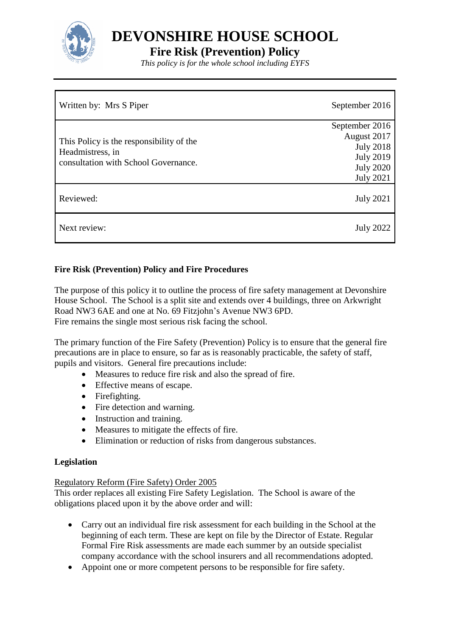

**DEVONSHIRE HOUSE SCHOOL**

# **Fire Risk (Prevention) Policy**

*This policy is for the whole school including EYFS*

| Written by: Mrs S Piper                                                                              | September 2016                       |
|------------------------------------------------------------------------------------------------------|--------------------------------------|
| This Policy is the responsibility of the<br>Headmistress, in<br>consultation with School Governance. | September 2016<br>August 2017        |
|                                                                                                      | <b>July 2018</b>                     |
|                                                                                                      | <b>July 2019</b><br><b>July 2020</b> |
|                                                                                                      | <b>July 2021</b>                     |
| Reviewed:                                                                                            | <b>July 2021</b>                     |
| Next review:                                                                                         | <b>July 2022</b>                     |

## **Fire Risk (Prevention) Policy and Fire Procedures**

The purpose of this policy it to outline the process of fire safety management at Devonshire House School. The School is a split site and extends over 4 buildings, three on Arkwright Road NW3 6AE and one at No. 69 Fitzjohn's Avenue NW3 6PD. Fire remains the single most serious risk facing the school.

The primary function of the Fire Safety (Prevention) Policy is to ensure that the general fire precautions are in place to ensure, so far as is reasonably practicable, the safety of staff, pupils and visitors. General fire precautions include:

- Measures to reduce fire risk and also the spread of fire.
- Effective means of escape.
- Firefighting.
- Fire detection and warning.
- Instruction and training.
- Measures to mitigate the effects of fire.
- Elimination or reduction of risks from dangerous substances.

### **Legislation**

### Regulatory Reform (Fire Safety) Order 2005

This order replaces all existing Fire Safety Legislation. The School is aware of the obligations placed upon it by the above order and will:

- Carry out an individual fire risk assessment for each building in the School at the beginning of each term. These are kept on file by the Director of Estate. Regular Formal Fire Risk assessments are made each summer by an outside specialist company accordance with the school insurers and all recommendations adopted.
- Appoint one or more competent persons to be responsible for fire safety.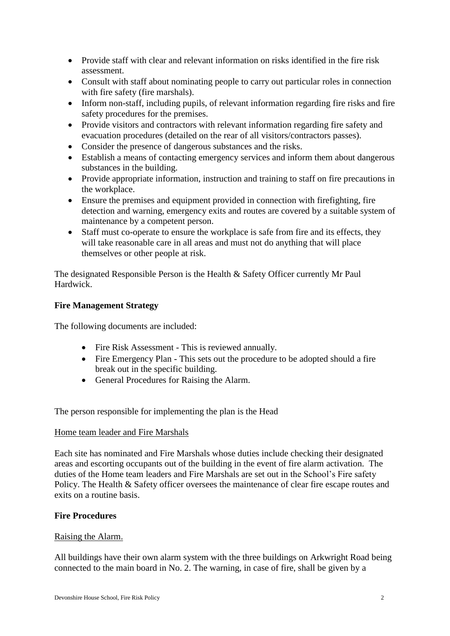- Provide staff with clear and relevant information on risks identified in the fire risk assessment.
- Consult with staff about nominating people to carry out particular roles in connection with fire safety (fire marshals).
- Inform non-staff, including pupils, of relevant information regarding fire risks and fire safety procedures for the premises.
- Provide visitors and contractors with relevant information regarding fire safety and evacuation procedures (detailed on the rear of all visitors/contractors passes).
- Consider the presence of dangerous substances and the risks.
- Establish a means of contacting emergency services and inform them about dangerous substances in the building.
- Provide appropriate information, instruction and training to staff on fire precautions in the workplace.
- Ensure the premises and equipment provided in connection with firefighting, fire detection and warning, emergency exits and routes are covered by a suitable system of maintenance by a competent person.
- Staff must co-operate to ensure the workplace is safe from fire and its effects, they will take reasonable care in all areas and must not do anything that will place themselves or other people at risk.

The designated Responsible Person is the Health & Safety Officer currently Mr Paul Hardwick.

### **Fire Management Strategy**

The following documents are included:

- Fire Risk Assessment This is reviewed annually.
- Fire Emergency Plan This sets out the procedure to be adopted should a fire break out in the specific building.
- General Procedures for Raising the Alarm.

The person responsible for implementing the plan is the Head

### Home team leader and Fire Marshals

Each site has nominated and Fire Marshals whose duties include checking their designated areas and escorting occupants out of the building in the event of fire alarm activation. The duties of the Home team leaders and Fire Marshals are set out in the School's Fire safety Policy. The Health & Safety officer oversees the maintenance of clear fire escape routes and exits on a routine basis.

### **Fire Procedures**

### Raising the Alarm.

All buildings have their own alarm system with the three buildings on Arkwright Road being connected to the main board in No. 2. The warning, in case of fire, shall be given by a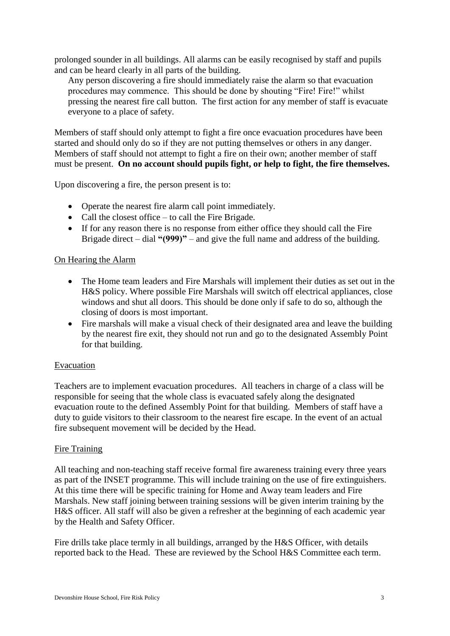prolonged sounder in all buildings. All alarms can be easily recognised by staff and pupils and can be heard clearly in all parts of the building.

Any person discovering a fire should immediately raise the alarm so that evacuation procedures may commence. This should be done by shouting "Fire! Fire!" whilst pressing the nearest fire call button. The first action for any member of staff is evacuate everyone to a place of safety.

Members of staff should only attempt to fight a fire once evacuation procedures have been started and should only do so if they are not putting themselves or others in any danger. Members of staff should not attempt to fight a fire on their own; another member of staff must be present. **On no account should pupils fight, or help to fight, the fire themselves.**

Upon discovering a fire, the person present is to:

- Operate the nearest fire alarm call point immediately.
- Call the closest office to call the Fire Brigade.
- If for any reason there is no response from either office they should call the Fire Brigade direct – dial **"(999)"** – and give the full name and address of the building.

### On Hearing the Alarm

- The Home team leaders and Fire Marshals will implement their duties as set out in the H&S policy. Where possible Fire Marshals will switch off electrical appliances, close windows and shut all doors. This should be done only if safe to do so, although the closing of doors is most important.
- Fire marshals will make a visual check of their designated area and leave the building by the nearest fire exit, they should not run and go to the designated Assembly Point for that building.

### Evacuation

Teachers are to implement evacuation procedures. All teachers in charge of a class will be responsible for seeing that the whole class is evacuated safely along the designated evacuation route to the defined Assembly Point for that building. Members of staff have a duty to guide visitors to their classroom to the nearest fire escape. In the event of an actual fire subsequent movement will be decided by the Head.

### Fire Training

All teaching and non-teaching staff receive formal fire awareness training every three years as part of the INSET programme. This will include training on the use of fire extinguishers. At this time there will be specific training for Home and Away team leaders and Fire Marshals. New staff joining between training sessions will be given interim training by the H&S officer. All staff will also be given a refresher at the beginning of each academic year by the Health and Safety Officer.

Fire drills take place termly in all buildings, arranged by the H&S Officer, with details reported back to the Head. These are reviewed by the School H&S Committee each term.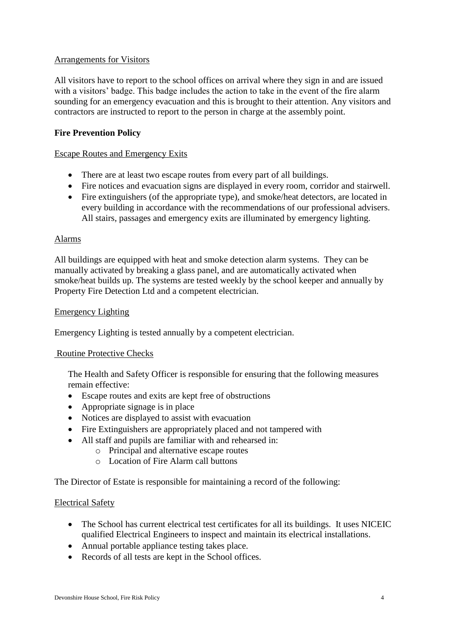### Arrangements for Visitors

All visitors have to report to the school offices on arrival where they sign in and are issued with a visitors' badge. This badge includes the action to take in the event of the fire alarm sounding for an emergency evacuation and this is brought to their attention. Any visitors and contractors are instructed to report to the person in charge at the assembly point.

### **Fire Prevention Policy**

### Escape Routes and Emergency Exits

- There are at least two escape routes from every part of all buildings.
- Fire notices and evacuation signs are displayed in every room, corridor and stairwell.
- Fire extinguishers (of the appropriate type), and smoke/heat detectors, are located in every building in accordance with the recommendations of our professional advisers. All stairs, passages and emergency exits are illuminated by emergency lighting.

### Alarms

All buildings are equipped with heat and smoke detection alarm systems. They can be manually activated by breaking a glass panel, and are automatically activated when smoke/heat builds up. The systems are tested weekly by the school keeper and annually by Property Fire Detection Ltd and a competent electrician.

#### Emergency Lighting

Emergency Lighting is tested annually by a competent electrician.

### Routine Protective Checks

The Health and Safety Officer is responsible for ensuring that the following measures remain effective:

- Escape routes and exits are kept free of obstructions
- Appropriate signage is in place
- Notices are displayed to assist with evacuation
- Fire Extinguishers are appropriately placed and not tampered with
- All staff and pupils are familiar with and rehearsed in:
	- o Principal and alternative escape routes
	- o Location of Fire Alarm call buttons

The Director of Estate is responsible for maintaining a record of the following:

### Electrical Safety

- The School has current electrical test certificates for all its buildings. It uses NICEIC qualified Electrical Engineers to inspect and maintain its electrical installations.
- Annual portable appliance testing takes place.
- Records of all tests are kept in the School offices.